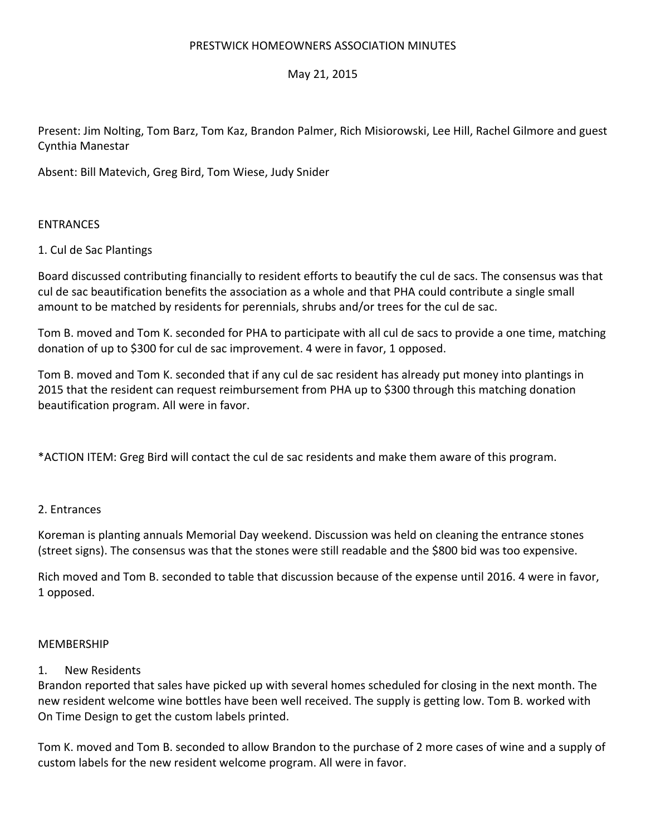## PRESTWICK HOMEOWNERS ASSOCIATION MINUTES

# May 21, 2015

Present: Jim Nolting, Tom Barz, Tom Kaz, Brandon Palmer, Rich Misiorowski, Lee Hill, Rachel Gilmore and guest Cynthia Manestar

Absent: Bill Matevich, Greg Bird, Tom Wiese, Judy Snider

## ENTRANCES

## 1. Cul de Sac Plantings

Board discussed contributing financially to resident efforts to beautify the cul de sacs. The consensus was that cul de sac beautification benefits the association as a whole and that PHA could contribute a single small amount to be matched by residents for perennials, shrubs and/or trees for the cul de sac.

Tom B. moved and Tom K. seconded for PHA to participate with all cul de sacs to provide a one time, matching donation of up to \$300 for cul de sac improvement. 4 were in favor, 1 opposed.

Tom B. moved and Tom K. seconded that if any cul de sac resident has already put money into plantings in 2015 that the resident can request reimbursement from PHA up to \$300 through this matching donation beautification program. All were in favor.

\*ACTION ITEM: Greg Bird will contact the cul de sac residents and make them aware of this program.

## 2. Entrances

Koreman is planting annuals Memorial Day weekend. Discussion was held on cleaning the entrance stones (street signs). The consensus was that the stones were still readable and the \$800 bid was too expensive.

Rich moved and Tom B. seconded to table that discussion because of the expense until 2016. 4 were in favor, 1 opposed.

## MEMBERSHIP

## 1. New Residents

Brandon reported that sales have picked up with several homes scheduled for closing in the next month. The new resident welcome wine bottles have been well received. The supply is getting low. Tom B. worked with On Time Design to get the custom labels printed.

Tom K. moved and Tom B. seconded to allow Brandon to the purchase of 2 more cases of wine and a supply of custom labels for the new resident welcome program. All were in favor.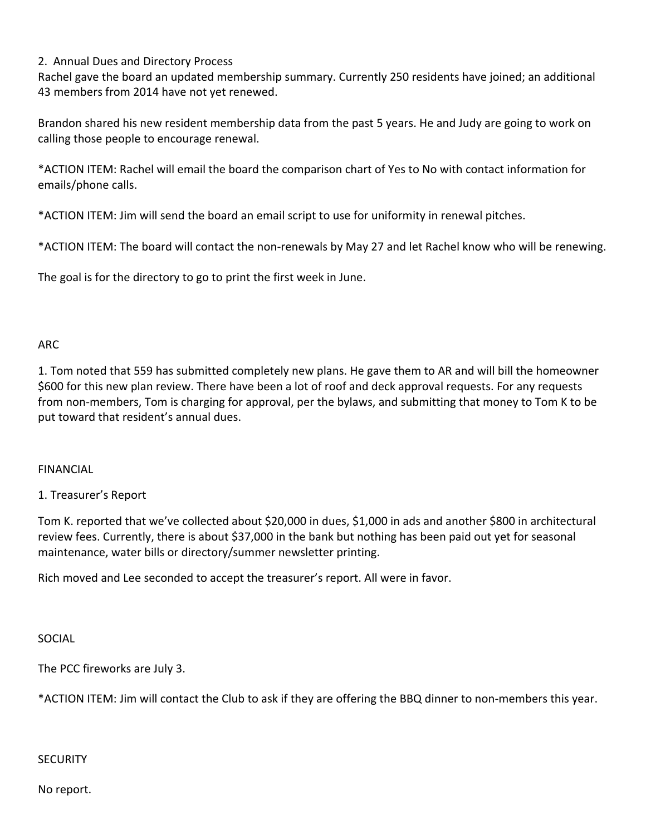# 2. Annual Dues and Directory Process

Rachel gave the board an updated membership summary. Currently 250 residents have joined; an additional 43 members from 2014 have not yet renewed.

Brandon shared his new resident membership data from the past 5 years. He and Judy are going to work on calling those people to encourage renewal.

\*ACTION ITEM: Rachel will email the board the comparison chart of Yes to No with contact information for emails/phone calls.

\*ACTION ITEM: Jim will send the board an email script to use for uniformity in renewal pitches.

\*ACTION ITEM: The board will contact the non‐renewals by May 27 and let Rachel know who will be renewing.

The goal is for the directory to go to print the first week in June.

# ARC

1. Tom noted that 559 has submitted completely new plans. He gave them to AR and will bill the homeowner \$600 for this new plan review. There have been a lot of roof and deck approval requests. For any requests from non‐members, Tom is charging for approval, per the bylaws, and submitting that money to Tom K to be put toward that resident's annual dues.

# FINANCIAL

# 1. Treasurer's Report

Tom K. reported that we've collected about \$20,000 in dues, \$1,000 in ads and another \$800 in architectural review fees. Currently, there is about \$37,000 in the bank but nothing has been paid out yet for seasonal maintenance, water bills or directory/summer newsletter printing.

Rich moved and Lee seconded to accept the treasurer's report. All were in favor.

SOCIAL

The PCC fireworks are July 3.

\*ACTION ITEM: Jim will contact the Club to ask if they are offering the BBQ dinner to non‐members this year.

## **SECURITY**

No report.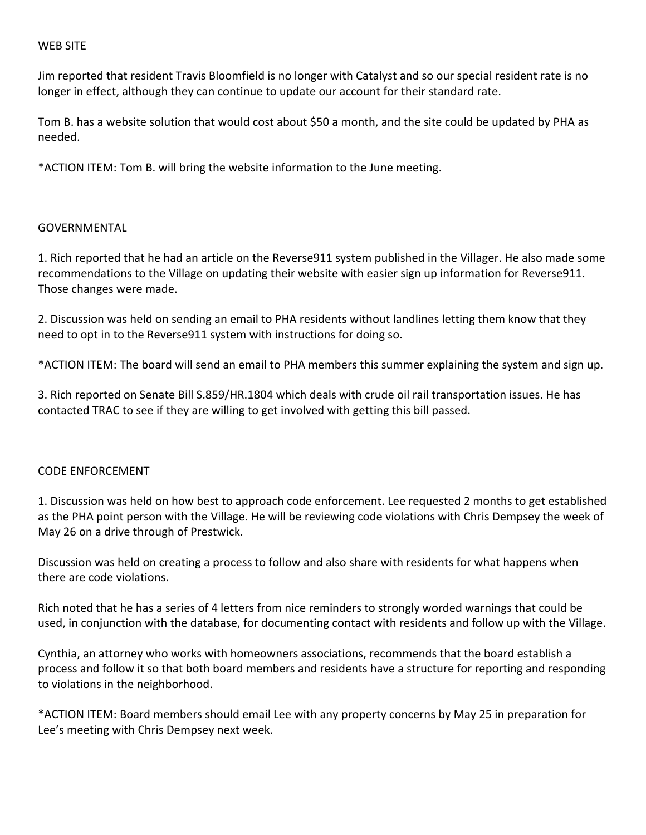## WEB SITE

Jim reported that resident Travis Bloomfield is no longer with Catalyst and so our special resident rate is no longer in effect, although they can continue to update our account for their standard rate.

Tom B. has a website solution that would cost about \$50 a month, and the site could be updated by PHA as needed.

\*ACTION ITEM: Tom B. will bring the website information to the June meeting.

# GOVERNMENTAL

1. Rich reported that he had an article on the Reverse911 system published in the Villager. He also made some recommendations to the Village on updating their website with easier sign up information for Reverse911. Those changes were made.

2. Discussion was held on sending an email to PHA residents without landlines letting them know that they need to opt in to the Reverse911 system with instructions for doing so.

\*ACTION ITEM: The board will send an email to PHA members this summer explaining the system and sign up.

3. Rich reported on Senate Bill S.859/HR.1804 which deals with crude oil rail transportation issues. He has contacted TRAC to see if they are willing to get involved with getting this bill passed.

## CODE ENFORCEMENT

1. Discussion was held on how best to approach code enforcement. Lee requested 2 months to get established as the PHA point person with the Village. He will be reviewing code violations with Chris Dempsey the week of May 26 on a drive through of Prestwick.

Discussion was held on creating a process to follow and also share with residents for what happens when there are code violations.

Rich noted that he has a series of 4 letters from nice reminders to strongly worded warnings that could be used, in conjunction with the database, for documenting contact with residents and follow up with the Village.

Cynthia, an attorney who works with homeowners associations, recommends that the board establish a process and follow it so that both board members and residents have a structure for reporting and responding to violations in the neighborhood.

\*ACTION ITEM: Board members should email Lee with any property concerns by May 25 in preparation for Lee's meeting with Chris Dempsey next week.